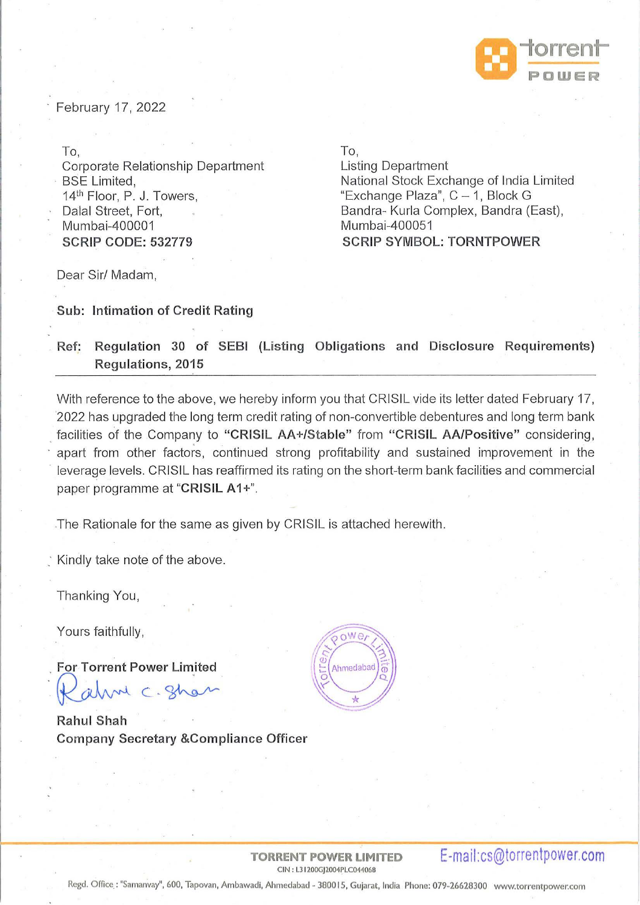

February 17, 2022

To, Corporate Relationship Department **BSE Limited.** 14<sup>th</sup> Floor, P. J. Towers, Dalal Street, Fort, Murnbai-400001 **SCRIP CODE: 532779** 

To,

Listing Department National Stock Exchange of India Limited "Exchange Plaza",  $C - 1$ , Block G Bandra- Kurla Complex, Bandra (East), Mumbai-400051 **SCRIP SYMBOL: TORNTPOWER** 

Dear Sir/ Madam,

**Sub: Intimation of Credit Rating** 

## . **Ref: Regulation 30 of SEBI (Listing Obligations and Disclosure Requirements) Regulations, 2015**

With reference to the above, we hereby inform you that CRISIL vide its letter dated February 17, ·2022 has upgraded the long term cred it rating of non-convertible debentures and long term bank . facilities of the Company to **"CRISIL AA+/Stable"** from **"CRISIL AA/Positive"** considering, apart from other factors, continued strong profitability and sustained improvement in the leverage levels. CRISIL has reaffirmed its rating on the short-term bank facilities and commercial paper programme at "CRISIL A1+".

.The Rationale for the same as given by CRISIL is attached herewith.

Kindly take note of the above.

Thanking You,

Yours faithfully,

. **For Torrent Power Lim ited**  For Torrent Power Limited<br>Rahm C. Shan

**Rahul Shah Company Secretary &Compliance Officer** 



# **TORRENT POWER LIMITED E-mail:cs@torrentpower.com**  --

Regd. Office : "Samanvay", 600, Tapovan, Ambawadi, Ahmedabad - 380015, Gujarat, India Phone: 079-26628300 www.torrentpower.com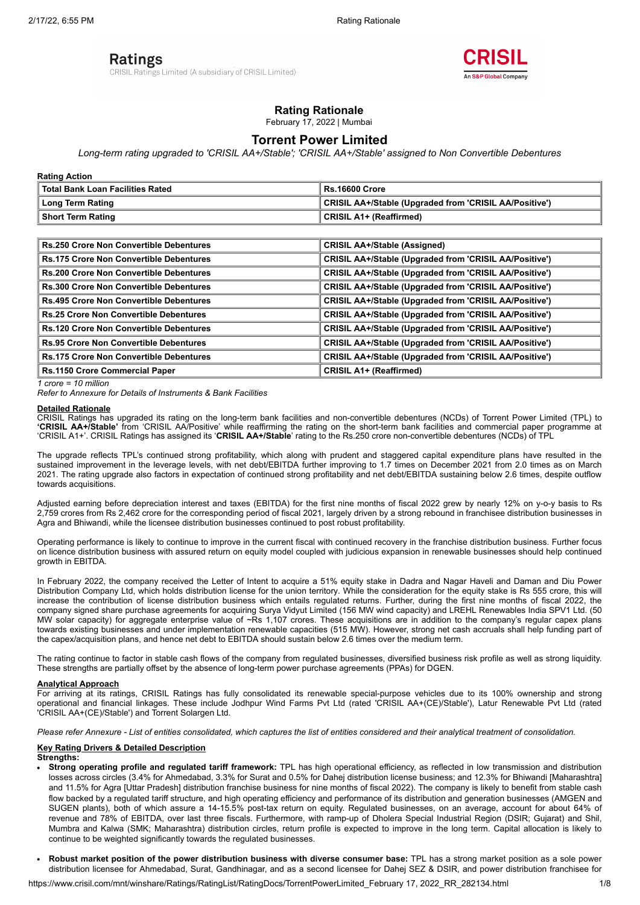## Ratings

CRISIL Ratings Limited (A subsidiary of CRISIL Limited)



## **Rating Rationale**

February 17, 2022 | Mumbai

## **Torrent Power Limited**

*Long-term rating upgraded to 'CRISIL AA+/Stable'; 'CRISIL AA+/Stable' assigned to Non Convertible Debentures*

**Rating Action**

| Total Bank Loan Facilities Rated | Rs.16600 Crore                                         |
|----------------------------------|--------------------------------------------------------|
| ∣ Long Term Rating               | CRISIL AA+/Stable (Upgraded from 'CRISIL AA/Positive') |
| Short Term Rating                | <b>CRISIL A1+ (Reaffirmed)</b>                         |

| <b>Rs.250 Crore Non Convertible Debentures</b> | <b>CRISIL AA+/Stable (Assigned)</b>                           |
|------------------------------------------------|---------------------------------------------------------------|
| <b>Rs.175 Crore Non Convertible Debentures</b> | CRISIL AA+/Stable (Upgraded from 'CRISIL AA/Positive')        |
| <b>Rs.200 Crore Non Convertible Debentures</b> | <b>CRISIL AA+/Stable (Upgraded from 'CRISIL AA/Positive')</b> |
| <b>Rs.300 Crore Non Convertible Debentures</b> | <b>CRISIL AA+/Stable (Upgraded from 'CRISIL AA/Positive')</b> |
| <b>Rs.495 Crore Non Convertible Debentures</b> | <b>CRISIL AA+/Stable (Upgraded from 'CRISIL AA/Positive')</b> |
| <b>Rs.25 Crore Non Convertible Debentures</b>  | <b>CRISIL AA+/Stable (Upgraded from 'CRISIL AA/Positive')</b> |
| <b>Rs.120 Crore Non Convertible Debentures</b> | <b>CRISIL AA+/Stable (Upgraded from 'CRISIL AA/Positive')</b> |
| <b>Rs.95 Crore Non Convertible Debentures</b>  | <b>CRISIL AA+/Stable (Upgraded from 'CRISIL AA/Positive')</b> |
| <b>Rs.175 Crore Non Convertible Debentures</b> | <b>CRISIL AA+/Stable (Upgraded from 'CRISIL AA/Positive')</b> |
| <b>Rs.1150 Crore Commercial Paper</b>          | <b>CRISIL A1+ (Reaffirmed)</b>                                |

*1 crore = 10 million*

*Refer to Annexure for Details of Instruments & Bank Facilities*

#### **Detailed Rationale**

CRISIL Ratings has upgraded its rating on the long-term bank facilities and non-convertible debentures (NCDs) of Torrent Power Limited (TPL) to **'CRISIL AA+/Stable'** from 'CRISIL AA/Positive' while reaffirming the rating on the short-term bank facilities and commercial paper programme at 'CRISIL A1+'. CRISIL Ratings has assigned its '**CRISIL AA+/Stable**' rating to the Rs.250 crore non-convertible debentures (NCDs) of TPL

The upgrade reflects TPL's continued strong profitability, which along with prudent and staggered capital expenditure plans have resulted in the sustained improvement in the leverage levels, with net debt/EBITDA further improving to 1.7 times on December 2021 from 2.0 times as on March 2021. The rating upgrade also factors in expectation of continued strong profitability and net debt/EBITDA sustaining below 2.6 times, despite outflow towards acquisitions.

Adjusted earning before depreciation interest and taxes (EBITDA) for the first nine months of fiscal 2022 grew by nearly 12% on y-o-y basis to Rs 2,759 crores from Rs 2,462 crore for the corresponding period of fiscal 2021, largely driven by a strong rebound in franchisee distribution businesses in Agra and Bhiwandi, while the licensee distribution businesses continued to post robust profitability.

Operating performance is likely to continue to improve in the current fiscal with continued recovery in the franchise distribution business. Further focus on licence distribution business with assured return on equity model coupled with judicious expansion in renewable businesses should help continued growth in EBITDA.

In February 2022, the company received the Letter of Intent to acquire a 51% equity stake in Dadra and Nagar Haveli and Daman and Diu Power Distribution Company Ltd, which holds distribution license for the union territory. While the consideration for the equity stake is Rs 555 crore, this will increase the contribution of license distribution business which entails regulated returns. Further, during the first nine months of fiscal 2022, the company signed share purchase agreements for acquiring Surya Vidyut Limited (156 MW wind capacity) and LREHL Renewables India SPV1 Ltd. (50 MW solar capacity) for aggregate enterprise value of ~Rs 1,107 crores. These acquisitions are in addition to the company's regular capex plans towards existing businesses and under implementation renewable capacities (515 MW). However, strong net cash accruals shall help funding part of the capex/acquisition plans, and hence net debt to EBITDA should sustain below 2.6 times over the medium term.

The rating continue to factor in stable cash flows of the company from regulated businesses, diversified business risk profile as well as strong liquidity. These strengths are partially offset by the absence of long-term power purchase agreements (PPAs) for DGEN.

#### **Analytical Approach**

For arriving at its ratings, CRISIL Ratings has fully consolidated its renewable special-purpose vehicles due to its 100% ownership and strong operational and financial linkages. These include Jodhpur Wind Farms Pvt Ltd (rated 'CRISIL AA+(CE)/Stable'), Latur Renewable Pvt Ltd (rated 'CRISIL AA+(CE)/Stable') and Torrent Solargen Ltd.

*Please refer Annexure - List of entities consolidated, which captures the list of entities considered and their analytical treatment of consolidation.*

#### **Key Rating Drivers & Detailed Description**

**Strengths:**

- **Strong operating profile and regulated tariff framework:** TPL has high operational efficiency, as reflected in low transmission and distribution losses across circles (3.4% for Ahmedabad, 3.3% for Surat and 0.5% for Dahej distribution license business; and 12.3% for Bhiwandi [Maharashtra] and 11.5% for Agra [Uttar Pradesh] distribution franchise business for nine months of fiscal 2022). The company is likely to benefit from stable cash flow backed by a regulated tariff structure, and high operating efficiency and performance of its distribution and generation businesses (AMGEN and SUGEN plants), both of which assure a 14-15.5% post-tax return on equity. Regulated businesses, on an average, account for about 64% of revenue and 78% of EBITDA, over last three fiscals. Furthermore, with ramp-up of Dholera Special Industrial Region (DSIR; Gujarat) and Shil, Mumbra and Kalwa (SMK; Maharashtra) distribution circles, return profile is expected to improve in the long term. Capital allocation is likely to continue to be weighted significantly towards the regulated businesses.
- **Robust market position of the power distribution business with diverse consumer base:** TPL has a strong market position as a sole power distribution licensee for Ahmedabad, Surat, Gandhinagar, and as a second licensee for Dahej SEZ & DSIR, and power distribution franchisee for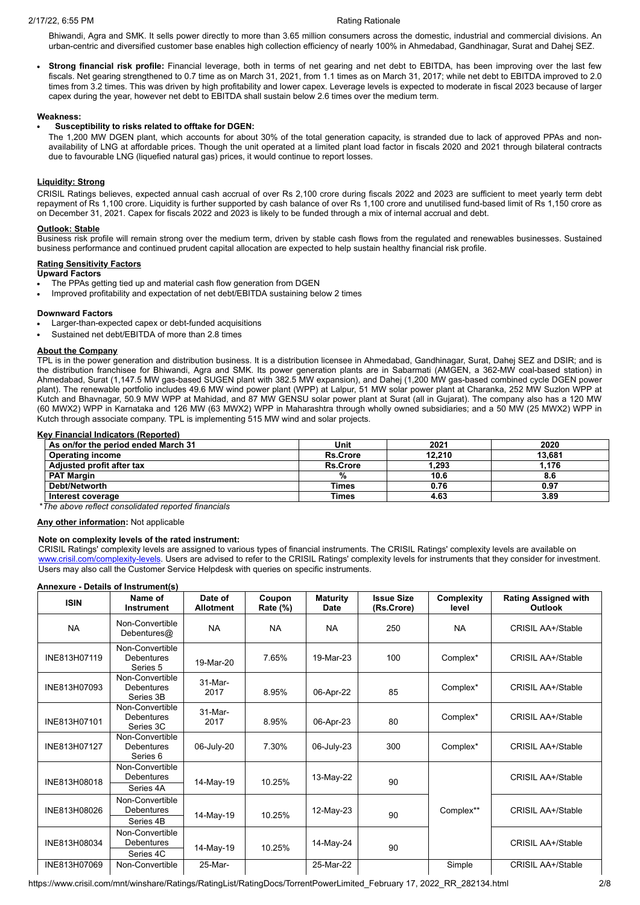Bhiwandi, Agra and SMK. It sells power directly to more than 3.65 million consumers across the domestic, industrial and commercial divisions. An urban-centric and diversified customer base enables high collection efficiency of nearly 100% in Ahmedabad, Gandhinagar, Surat and Dahej SEZ.

**Strong financial risk profile:** Financial leverage, both in terms of net gearing and net debt to EBITDA, has been improving over the last few fiscals. Net gearing strengthened to 0.7 time as on March 31, 2021, from 1.1 times as on March 31, 2017; while net debt to EBITDA improved to 2.0 times from 3.2 times. This was driven by high profitability and lower capex. Leverage levels is expected to moderate in fiscal 2023 because of larger capex during the year, however net debt to EBITDA shall sustain below 2.6 times over the medium term.

#### **Weakness:**

#### **Susceptibility to risks related to offtake for DGEN:**

The 1,200 MW DGEN plant, which accounts for about 30% of the total generation capacity, is stranded due to lack of approved PPAs and nonavailability of LNG at affordable prices. Though the unit operated at a limited plant load factor in fiscals 2020 and 2021 through bilateral contracts due to favourable LNG (liquefied natural gas) prices, it would continue to report losses.

#### **Liquidity: Strong**

CRISIL Ratings believes, expected annual cash accrual of over Rs 2,100 crore during fiscals 2022 and 2023 are sufficient to meet yearly term debt repayment of Rs 1,100 crore. Liquidity is further supported by cash balance of over Rs 1,100 crore and unutilised fund-based limit of Rs 1,150 crore as on December 31, 2021. Capex for fiscals 2022 and 2023 is likely to be funded through a mix of internal accrual and debt.

#### **Outlook: Stable**

Business risk profile will remain strong over the medium term, driven by stable cash flows from the regulated and renewables businesses. Sustained business performance and continued prudent capital allocation are expected to help sustain healthy financial risk profile.

#### **Rating Sensitivity Factors**

**Upward Factors**

- The PPAs getting tied up and material cash flow generation from DGEN
- Improved profitability and expectation of net debt/EBITDA sustaining below 2 times

#### **Downward Factors**

- Larger-than-expected capex or debt-funded acquisitions
- Sustained net debt/EBITDA of more than 2.8 times

#### **About the Company**

TPL is in the power generation and distribution business. It is a distribution licensee in Ahmedabad, Gandhinagar, Surat, Dahej SEZ and DSIR; and is the distribution franchisee for Bhiwandi, Agra and SMK. Its power generation plants are in Sabarmati (AMGEN, a 362-MW coal-based station) in Ahmedabad, Surat (1,147.5 MW gas-based SUGEN plant with 382.5 MW expansion), and Dahej (1,200 MW gas-based combined cycle DGEN power plant). The renewable portfolio includes 49.6 MW wind power plant (WPP) at Lalpur, 51 MW solar power plant at Charanka, 252 MW Suzlon WPP at Kutch and Bhavnagar, 50.9 MW WPP at Mahidad, and 87 MW GENSU solar power plant at Surat (all in Gujarat). The company also has a 120 MW (60 MWX2) WPP in Karnataka and 126 MW (63 MWX2) WPP in Maharashtra through wholly owned subsidiaries; and a 50 MW (25 MWX2) WPP in Kutch through associate company. TPL is implementing 515 MW wind and solar projects.

#### **Key Financial Indicators (Reported)**

| As on/for the period ended March 31 | Unit            | 2021   | 2020   |
|-------------------------------------|-----------------|--------|--------|
| <b>Operating income</b>             | <b>Rs.Crore</b> | 12.210 | 13.681 |
| Adjusted profit after tax           | <b>Rs.Crore</b> | 1.293  | 1.176  |
| <b>PAT Margin</b>                   | %               | 10.6   | 8.6    |
| Debt/Networth                       | <b>Times</b>    | 0.76   | 0.97   |
| Interest coverage                   | Times           | 4.63   | 3.89   |

\**The above reflect consolidated reported financials*

**Any other information:** Not applicable

#### **Note on complexity levels of the rated instrument:**

CRISIL Ratings' complexity levels are assigned to various types of financial instruments. The CRISIL Ratings' complexity levels are available on [www.crisil.com/complexity-levels](http://www.crisil.com/complexity-levels). Users are advised to refer to the CRISIL Ratings' complexity levels for instruments that they consider for investment. Users may also call the Customer Service Helpdesk with queries on specific instruments.

#### **Annexure - Details of Instrument(s)**

| <b>ISIN</b>  | Name of<br>Instrument                             | Date of<br><b>Allotment</b> | Coupon<br>Rate (%) | <b>Maturity</b><br><b>Date</b> | <b>Issue Size</b><br>(Rs.Crore) | Complexity<br>level | <b>Rating Assigned with</b><br><b>Outlook</b> |
|--------------|---------------------------------------------------|-----------------------------|--------------------|--------------------------------|---------------------------------|---------------------|-----------------------------------------------|
| <b>NA</b>    | Non-Convertible<br>Debentures@                    | <b>NA</b>                   | <b>NA</b>          | <b>NA</b>                      | 250                             | <b>NA</b>           | <b>CRISIL AA+/Stable</b>                      |
| INE813H07119 | Non-Convertible<br><b>Debentures</b><br>Series 5  | 19-Mar-20                   | 7.65%              | 19-Mar-23                      | 100                             | Complex*            | <b>CRISIL AA+/Stable</b>                      |
| INE813H07093 | Non-Convertible<br><b>Debentures</b><br>Series 3B | 31-Mar-<br>2017             | 8.95%              | 06-Apr-22                      | 85                              | Complex*            | <b>CRISIL AA+/Stable</b>                      |
| INE813H07101 | Non-Convertible<br>Debentures<br>Series 3C        | 31-Mar-<br>2017             | 8.95%              | 06-Apr-23                      | 80                              | Complex*            | <b>CRISIL AA+/Stable</b>                      |
| INE813H07127 | Non-Convertible<br><b>Debentures</b><br>Series 6  | 06-July-20                  | 7.30%              | 06-July-23                     | 300                             | Complex*            | <b>CRISIL AA+/Stable</b>                      |
| INE813H08018 | Non-Convertible<br><b>Debentures</b><br>Series 4A | 14-May-19                   | 10.25%             | 13-May-22                      | 90                              |                     | <b>CRISIL AA+/Stable</b>                      |
| INE813H08026 | Non-Convertible<br><b>Debentures</b><br>Series 4B | 14-May-19                   | 10.25%             | 12-May-23                      | 90                              | Complex**           | <b>CRISIL AA+/Stable</b>                      |
| INE813H08034 | Non-Convertible<br><b>Debentures</b><br>Series 4C | 14-May-19                   | 10.25%             | 14-May-24                      | 90                              |                     | <b>CRISIL AA+/Stable</b>                      |
| INE813H07069 | Non-Convertible                                   | 25-Mar-                     |                    | 25-Mar-22                      |                                 | Simple              | <b>CRISIL AA+/Stable</b>                      |

https://www.crisil.com/mnt/winshare/Ratings/RatingList/RatingDocs/TorrentPowerLimited\_February 17, 2022\_RR\_282134.html 2/8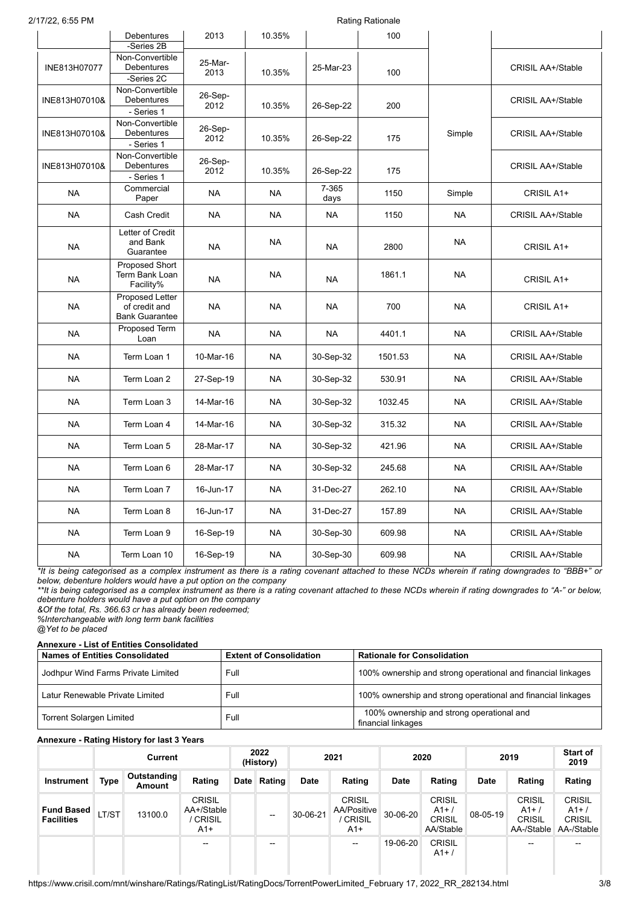| 2/17/22, 6:55 PM |                                                           | <b>Rating Rationale</b> |           |               |         |           |                          |
|------------------|-----------------------------------------------------------|-------------------------|-----------|---------------|---------|-----------|--------------------------|
|                  | <b>Debentures</b><br>-Series 2B                           | 2013                    | 10.35%    |               | 100     |           |                          |
| INE813H07077     | Non-Convertible<br>Debentures<br>-Series 2C               | 25-Mar-<br>2013         | 10.35%    | 25-Mar-23     | 100     |           | <b>CRISIL AA+/Stable</b> |
| INE813H07010&    | Non-Convertible<br>Debentures<br>- Series 1               | 26-Sep-<br>2012         | 10.35%    | 26-Sep-22     | 200     |           | <b>CRISIL AA+/Stable</b> |
| INE813H07010&    | Non-Convertible<br>Debentures<br>- Series 1               | 26-Sep-<br>2012         | 10.35%    | 26-Sep-22     | 175     | Simple    | <b>CRISIL AA+/Stable</b> |
| INE813H07010&    | Non-Convertible<br><b>Debentures</b><br>- Series 1        | 26-Sep-<br>2012         | 10.35%    | 26-Sep-22     | 175     |           | <b>CRISIL AA+/Stable</b> |
| <b>NA</b>        | Commercial<br>Paper                                       | <b>NA</b>               | <b>NA</b> | 7-365<br>days | 1150    | Simple    | CRISIL A1+               |
| <b>NA</b>        | Cash Credit                                               | <b>NA</b>               | <b>NA</b> | <b>NA</b>     | 1150    | <b>NA</b> | <b>CRISIL AA+/Stable</b> |
| <b>NA</b>        | Letter of Credit<br>and Bank<br>Guarantee                 | <b>NA</b>               | <b>NA</b> | <b>NA</b>     | 2800    | <b>NA</b> | CRISIL A1+               |
| <b>NA</b>        | Proposed Short<br>Term Bank Loan<br>Facility%             | <b>NA</b>               | <b>NA</b> | <b>NA</b>     | 1861.1  | <b>NA</b> | CRISIL A1+               |
| <b>NA</b>        | Proposed Letter<br>of credit and<br><b>Bank Guarantee</b> | <b>NA</b>               | <b>NA</b> | <b>NA</b>     | 700     | <b>NA</b> | CRISIL A1+               |
| <b>NA</b>        | Proposed Term<br>Loan                                     | <b>NA</b>               | <b>NA</b> | <b>NA</b>     | 4401.1  | <b>NA</b> | <b>CRISIL AA+/Stable</b> |
| <b>NA</b>        | Term Loan 1                                               | 10-Mar-16               | <b>NA</b> | 30-Sep-32     | 1501.53 | <b>NA</b> | <b>CRISIL AA+/Stable</b> |
| <b>NA</b>        | Term Loan 2                                               | 27-Sep-19               | <b>NA</b> | 30-Sep-32     | 530.91  | <b>NA</b> | <b>CRISIL AA+/Stable</b> |
| <b>NA</b>        | Term Loan 3                                               | 14-Mar-16               | <b>NA</b> | 30-Sep-32     | 1032.45 | <b>NA</b> | <b>CRISIL AA+/Stable</b> |
| <b>NA</b>        | Term Loan 4                                               | 14-Mar-16               | <b>NA</b> | 30-Sep-32     | 315.32  | <b>NA</b> | <b>CRISIL AA+/Stable</b> |
| <b>NA</b>        | Term Loan 5                                               | 28-Mar-17               | <b>NA</b> | 30-Sep-32     | 421.96  | <b>NA</b> | <b>CRISIL AA+/Stable</b> |
| <b>NA</b>        | Term Loan 6                                               | 28-Mar-17               | <b>NA</b> | 30-Sep-32     | 245.68  | <b>NA</b> | <b>CRISIL AA+/Stable</b> |
| <b>NA</b>        | Term Loan 7                                               | 16-Jun-17               | <b>NA</b> | 31-Dec-27     | 262.10  | <b>NA</b> | <b>CRISIL AA+/Stable</b> |
| <b>NA</b>        | Term Loan 8                                               | 16-Jun-17               | <b>NA</b> | 31-Dec-27     | 157.89  | <b>NA</b> | <b>CRISIL AA+/Stable</b> |
| <b>NA</b>        | Term Loan 9                                               | 16-Sep-19               | <b>NA</b> | 30-Sep-30     | 609.98  | <b>NA</b> | <b>CRISIL AA+/Stable</b> |
| <b>NA</b>        | Term Loan 10                                              | 16-Sep-19               | <b>NA</b> | 30-Sep-30     | 609.98  | <b>NA</b> | <b>CRISIL AA+/Stable</b> |

*\*It is being categorised as a complex instrument as there is a rating covenant attached to these NCDs wherein if rating downgrades to "BBB+" or below, debenture holders would have a put option on the company*

*\*\*It is being categorised as a complex instrument as there is a rating covenant attached to these NCDs wherein if rating downgrades to "A-" or below, debenture holders would have a put option on the company*

*&Of the total, Rs. 366.63 cr has already been redeemed; %Interchangeable with long term bank facilities*

*@Yet to be placed*

## **Annexure - List of Entities Consolidated**

| <b>Names of Entities Consolidated</b> | <b>Extent of Consolidation</b> | <b>Rationale for Consolidation</b>                              |
|---------------------------------------|--------------------------------|-----------------------------------------------------------------|
| Jodhpur Wind Farms Private Limited    | Full                           | 100% ownership and strong operational and financial linkages    |
| Latur Renewable Private Limited       | Full                           | 100% ownership and strong operational and financial linkages    |
| <b>Torrent Solargen Limited</b>       | Full                           | 100% ownership and strong operational and<br>financial linkages |

### **Annexure - Rating History for last 3 Years**

|                                        |       | Current                      |                                                  | 2022<br>(History)        |             | 2021                                                 |             | 2020                                          |             | 2019                                                  | <b>Start of</b><br>2019                               |
|----------------------------------------|-------|------------------------------|--------------------------------------------------|--------------------------|-------------|------------------------------------------------------|-------------|-----------------------------------------------|-------------|-------------------------------------------------------|-------------------------------------------------------|
| Instrument                             | Type  | <b>Outstanding</b><br>Amount | Rating                                           | Date Rating              | <b>Date</b> | Rating                                               | <b>Date</b> | Rating                                        | <b>Date</b> | Rating                                                | Rating                                                |
| <b>Fund Based</b><br><b>Facilities</b> | LT/ST | 13100.0                      | <b>CRISIL</b><br>AA+/Stable<br>' CRISIL<br>$A1+$ | $\overline{\phantom{a}}$ | 30-06-21    | <b>CRISIL</b><br>AA/Positive<br><b>CRISIL</b><br>A1+ | 30-06-20    | <b>CRISIL</b><br>$A1+$<br>CRISIL<br>AA/Stable | 08-05-19    | <b>CRISIL</b><br>$A1+$<br><b>CRISIL</b><br>AA-/Stable | <b>CRISIL</b><br>$A1+$<br><b>CRISIL</b><br>AA-/Stable |
|                                        |       |                              | $\hspace{0.05cm}$ – $\hspace{0.05cm}$            | $\overline{\phantom{a}}$ |             | --                                                   | 19-06-20    | <b>CRISIL</b><br>$A1+$                        |             | --                                                    | --                                                    |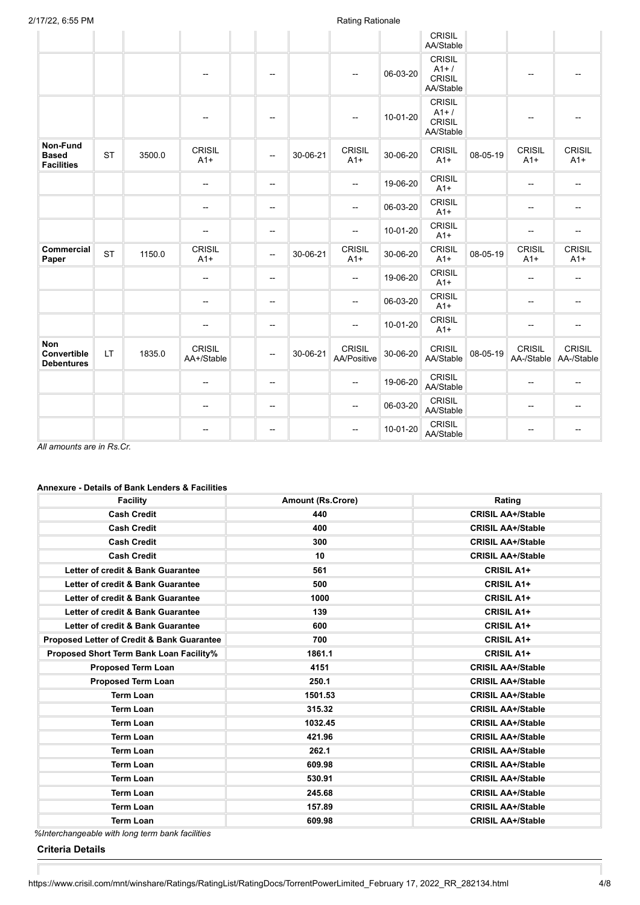|                                                |           |        |                             |                          |          |                                     |          | CRISIL<br>AA/Stable                           |          |                             |                             |
|------------------------------------------------|-----------|--------|-----------------------------|--------------------------|----------|-------------------------------------|----------|-----------------------------------------------|----------|-----------------------------|-----------------------------|
|                                                |           |        | $-$                         | $\overline{\phantom{a}}$ |          |                                     | 06-03-20 | CRISIL<br>$A1+$<br><b>CRISIL</b><br>AA/Stable |          | --                          |                             |
|                                                |           |        |                             | --                       |          |                                     | 10-01-20 | <b>CRISIL</b><br>$A1+$<br>CRISIL<br>AA/Stable |          | --                          |                             |
| Non-Fund<br><b>Based</b><br><b>Facilities</b>  | <b>ST</b> | 3500.0 | <b>CRISIL</b><br>$A1+$      | --                       | 30-06-21 | <b>CRISIL</b><br>$A1+$              | 30-06-20 | <b>CRISIL</b><br>$A1+$                        | 08-05-19 | <b>CRISIL</b><br>$A1+$      | <b>CRISIL</b><br>$A1+$      |
|                                                |           |        | $-$                         | --                       |          | --                                  | 19-06-20 | <b>CRISIL</b><br>$A1+$                        |          | --                          | $\overline{a}$              |
|                                                |           |        | --                          | $\overline{\phantom{a}}$ |          | $\overline{a}$                      | 06-03-20 | <b>CRISIL</b><br>$A1+$                        |          | $\overline{\phantom{a}}$    | --                          |
|                                                |           |        | --                          | --                       |          | --                                  | 10-01-20 | <b>CRISIL</b><br>$A1+$                        |          | --                          | --                          |
| <b>Commercial</b><br>Paper                     | <b>ST</b> | 1150.0 | <b>CRISIL</b><br>$A1+$      | $\overline{\phantom{a}}$ | 30-06-21 | <b>CRISIL</b><br>$A1+$              | 30-06-20 | <b>CRISIL</b><br>$A1+$                        | 08-05-19 | <b>CRISIL</b><br>$A1+$      | CRISIL<br>$A1+$             |
|                                                |           |        | --                          | --                       |          | --                                  | 19-06-20 | <b>CRISIL</b><br>$A1+$                        |          | --                          | --                          |
|                                                |           |        | $-$                         | $\overline{\phantom{a}}$ |          | --                                  | 06-03-20 | <b>CRISIL</b><br>$A1+$                        |          | --                          | --                          |
|                                                |           |        | --                          | $\overline{\phantom{a}}$ |          | $\overline{\phantom{a}}$            | 10-01-20 | <b>CRISIL</b><br>$A1+$                        |          | --                          | --                          |
| <b>Non</b><br>Convertible<br><b>Debentures</b> | LT.       | 1835.0 | <b>CRISIL</b><br>AA+/Stable | $\overline{\phantom{a}}$ | 30-06-21 | <b>CRISIL</b><br><b>AA/Positive</b> | 30-06-20 | <b>CRISIL</b><br>AA/Stable                    | 08-05-19 | <b>CRISIL</b><br>AA-/Stable | <b>CRISIL</b><br>AA-/Stable |
|                                                |           |        | $\overline{\phantom{a}}$    | --                       |          | $\overline{\phantom{a}}$            | 19-06-20 | <b>CRISIL</b><br>AA/Stable                    |          | --                          | --                          |
|                                                |           |        | --                          | --                       |          | --                                  | 06-03-20 | <b>CRISIL</b><br>AA/Stable                    |          | --                          | --                          |
|                                                |           |        | ÷                           | --                       |          | −−                                  | 10-01-20 | <b>CRISIL</b><br>AA/Stable                    |          | --                          | --                          |

*All amounts are in Rs.Cr.*

## **Annexure - Details of Bank Lenders & Facilities**

| <b>Facility</b>                                       | <b>Amount (Rs.Crore)</b> | Rating                   |
|-------------------------------------------------------|--------------------------|--------------------------|
| <b>Cash Credit</b>                                    | 440                      | <b>CRISIL AA+/Stable</b> |
| <b>Cash Credit</b>                                    | 400                      | <b>CRISIL AA+/Stable</b> |
| <b>Cash Credit</b>                                    | 300                      | <b>CRISIL AA+/Stable</b> |
| <b>Cash Credit</b>                                    | 10                       | <b>CRISIL AA+/Stable</b> |
| Letter of credit & Bank Guarantee                     | 561                      | <b>CRISIL A1+</b>        |
| Letter of credit & Bank Guarantee                     | 500                      | <b>CRISIL A1+</b>        |
| Letter of credit & Bank Guarantee                     | 1000                     | <b>CRISIL A1+</b>        |
| Letter of credit & Bank Guarantee                     | 139                      | <b>CRISIL A1+</b>        |
| Letter of credit & Bank Guarantee                     | 600                      | <b>CRISIL A1+</b>        |
| <b>Proposed Letter of Credit &amp; Bank Guarantee</b> | 700                      | <b>CRISIL A1+</b>        |
| Proposed Short Term Bank Loan Facility%               | 1861.1                   | <b>CRISIL A1+</b>        |
| <b>Proposed Term Loan</b>                             | 4151                     | <b>CRISIL AA+/Stable</b> |
| <b>Proposed Term Loan</b>                             | 250.1                    | <b>CRISIL AA+/Stable</b> |
| <b>Term Loan</b>                                      | 1501.53                  | <b>CRISIL AA+/Stable</b> |
| <b>Term Loan</b>                                      | 315.32                   | <b>CRISIL AA+/Stable</b> |
| <b>Term Loan</b>                                      | 1032.45                  | <b>CRISIL AA+/Stable</b> |
| <b>Term Loan</b>                                      | 421.96                   | <b>CRISIL AA+/Stable</b> |
| <b>Term Loan</b>                                      | 262.1                    | <b>CRISIL AA+/Stable</b> |
| <b>Term Loan</b>                                      | 609.98                   | <b>CRISIL AA+/Stable</b> |
| <b>Term Loan</b>                                      | 530.91                   | <b>CRISIL AA+/Stable</b> |
| <b>Term Loan</b>                                      | 245.68                   | <b>CRISIL AA+/Stable</b> |
| <b>Term Loan</b>                                      | 157.89                   | <b>CRISIL AA+/Stable</b> |
| <b>Term Loan</b>                                      | 609.98                   | <b>CRISIL AA+/Stable</b> |

*%Interchangeable with long term bank facilities*

**Criteria Details**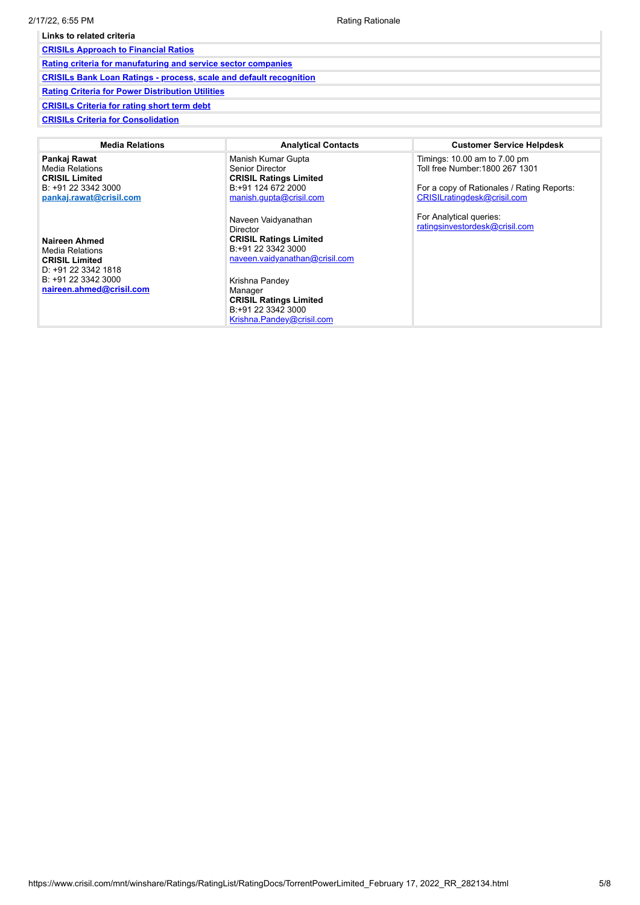| Links to related criteria                                                 |  |  |  |  |  |
|---------------------------------------------------------------------------|--|--|--|--|--|
| <b>CRISILs Approach to Financial Ratios</b>                               |  |  |  |  |  |
| Rating criteria for manufaturing and service sector companies             |  |  |  |  |  |
| <b>CRISILS Bank Loan Ratings - process, scale and default recognition</b> |  |  |  |  |  |
| <b>Rating Criteria for Power Distribution Utilities</b>                   |  |  |  |  |  |
| <b>CRISILs Criteria for rating short term debt</b>                        |  |  |  |  |  |
| <b>CRISILs Criteria for Consolidation</b>                                 |  |  |  |  |  |

| <b>Media Relations</b>                                                                                                              | <b>Analytical Contacts</b>                                                                                                                                                                                                                       | <b>Customer Service Helpdesk</b>                                                                                                             |
|-------------------------------------------------------------------------------------------------------------------------------------|--------------------------------------------------------------------------------------------------------------------------------------------------------------------------------------------------------------------------------------------------|----------------------------------------------------------------------------------------------------------------------------------------------|
| Pankaj Rawat<br>Media Relations<br><b>CRISIL Limited</b><br>B: +91 22 3342 3000<br>pankaj.rawat@crisil.com                          | Manish Kumar Gupta<br>Senior Director<br><b>CRISIL Ratings Limited</b><br>B:+91 124 672 2000<br>manish.gupta@crisil.com                                                                                                                          | Timings: 10.00 am to 7.00 pm<br>Toll free Number: 1800 267 1301<br>For a copy of Rationales / Rating Reports:<br>CRISILratingdesk@crisil.com |
| Naireen Ahmed<br>Media Relations<br><b>CRISIL Limited</b><br>D: +91 22 3342 1818<br>B: +91 22 3342 3000<br>naireen.ahmed@crisil.com | Naveen Vaidyanathan<br><b>Director</b><br><b>CRISIL Ratings Limited</b><br>B:+91 22 3342 3000<br>naveen.vaidyanathan@crisil.com<br>Krishna Pandey<br>Manager<br><b>CRISIL Ratings Limited</b><br>B:+91 22 3342 3000<br>Krishna.Pandey@crisil.com | For Analytical queries:<br>ratingsinvestordesk@crisil.com                                                                                    |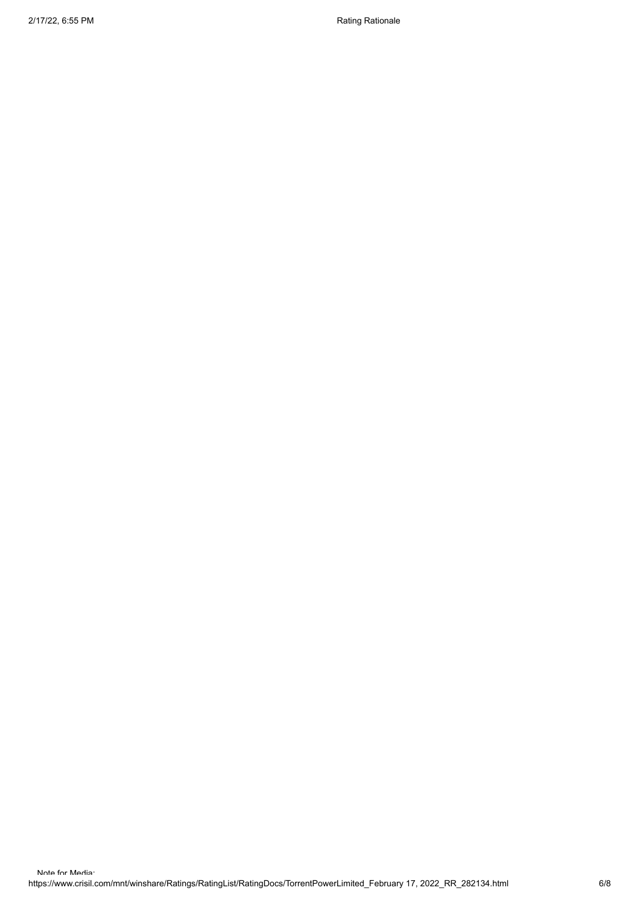2/17/22, 6:55 PM Rationale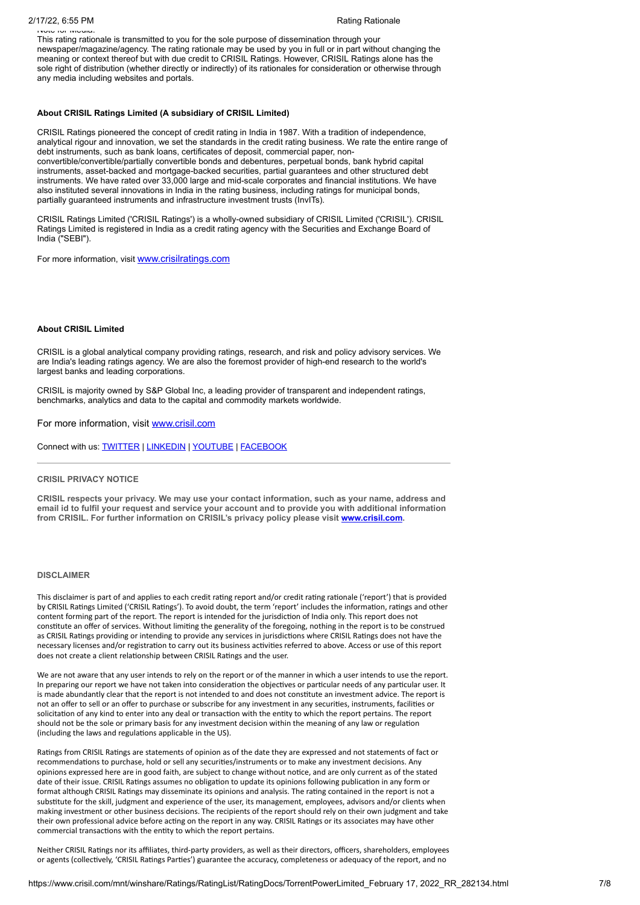## Note for Media:

This rating rationale is transmitted to you for the sole purpose of dissemination through your newspaper/magazine/agency. The rating rationale may be used by you in full or in part without changing the meaning or context thereof but with due credit to CRISIL Ratings. However, CRISIL Ratings alone has the sole right of distribution (whether directly or indirectly) of its rationales for consideration or otherwise through any media including websites and portals.

#### **About CRISIL Ratings Limited (A subsidiary of CRISIL Limited)**

CRISIL Ratings pioneered the concept of credit rating in India in 1987. With a tradition of independence, analytical rigour and innovation, we set the standards in the credit rating business. We rate the entire range of debt instruments, such as bank loans, certificates of deposit, commercial paper, nonconvertible/convertible/partially convertible bonds and debentures, perpetual bonds, bank hybrid capital instruments, asset-backed and mortgage-backed securities, partial guarantees and other structured debt instruments. We have rated over 33,000 large and mid-scale corporates and financial institutions. We have also instituted several innovations in India in the rating business, including ratings for municipal bonds, partially guaranteed instruments and infrastructure investment trusts (InvITs).

CRISIL Ratings Limited ('CRISIL Ratings') is a wholly-owned subsidiary of CRISIL Limited ('CRISIL'). CRISIL Ratings Limited is registered in India as a credit rating agency with the Securities and Exchange Board of India ("SEBI").

For more information, visit [www.crisilratings.com](http://www.crisilratings.com/)

#### **About CRISIL Limited**

CRISIL is a global analytical company providing ratings, research, and risk and policy advisory services. We are India's leading ratings agency. We are also the foremost provider of high-end research to the world's largest banks and leading corporations.

CRISIL is majority owned by S&P Global Inc, a leading provider of transparent and independent ratings, benchmarks, analytics and data to the capital and commodity markets worldwide.

For more information, visit [www.crisil.com](http://www.crisil.com/)

Connect with us: [TWITTER](https://twitter.com/CRISILLimited) | [LINKEDIN](http://www.linkedin.com/company/crisil) | [YOUTUBE](https://www.youtube.com/user/CRISILLimited) | [FACEBOOK](https://www.facebook.com/CRISILLimited)

### **CRISIL PRIVACY NOTICE**

**CRISIL respects your privacy. We may use your contact information, such as your name, address and email id to fulfil your request and service your account and to provide you with additional information from CRISIL. For further information on CRISIL's privacy policy please visit [www.crisil.com.](https://www.crisil.com/en/home/crisil-privacy-notice.html)**

### **DISCLAIMER**

This disclaimer is part of and applies to each credit rating report and/or credit rating rationale ('report') that is provided by CRISIL Ratings Limited ('CRISIL Ratings'). To avoid doubt, the term 'report' includes the information, ratings and other content forming part of the report. The report is intended for the jurisdiction of India only. This report does not constitute an offer of services. Without limiting the generality of the foregoing, nothing in the report is to be construed as CRISIL Ratings providing or intending to provide any services in jurisdictions where CRISIL Ratings does not have the necessary licenses and/or registration to carry out its business activities referred to above. Access or use of this report does not create a client relationship between CRISIL Ratings and the user.

We are not aware that any user intends to rely on the report or of the manner in which a user intends to use the report. In preparing our report we have not taken into consideration the objectives or particular needs of any particular user. It is made abundantly clear that the report is not intended to and does not constitute an investment advice. The report is not an offer to sell or an offer to purchase or subscribe for any investment in any securities, instruments, facilities or solicitation of any kind to enter into any deal or transaction with the entity to which the report pertains. The report should not be the sole or primary basis for any investment decision within the meaning of any law or regulation (including the laws and regulations applicable in the US).

Ratings from CRISIL Ratings are statements of opinion as of the date they are expressed and not statements of fact or recommendations to purchase, hold or sell any securities/instruments or to make any investment decisions. Any opinions expressed here are in good faith, are subject to change without notice, and are only current as of the stated date of their issue. CRISIL Ratings assumes no obligation to update its opinions following publication in any form or format although CRISIL Ratings may disseminate its opinions and analysis. The rating contained in the report is not a substitute for the skill, judgment and experience of the user, its management, employees, advisors and/or clients when making investment or other business decisions. The recipients of the report should rely on their own judgment and take their own professional advice before acting on the report in any way. CRISIL Ratings or its associates may have other commercial transactions with the entity to which the report pertains.

Neither CRISIL Ratings nor its affiliates, third-party providers, as well as their directors, officers, shareholders, employees or agents (collectively, 'CRISIL Ratings Parties') guarantee the accuracy, completeness or adequacy of the report, and no